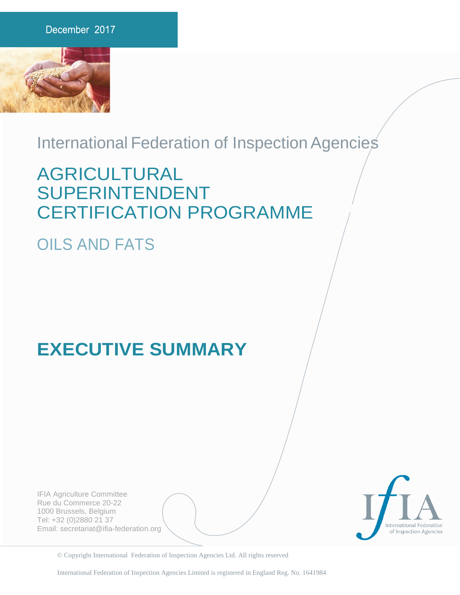

### International Federation of Inspection Agencies

## AGRICULTURAL SUPERINTENDENT CERTIFICATION PROGRAMME

## OILS AND FATS

# **EXECUTIVE SUMMARY**

IFIA Agriculture Committee Rue du Commerce 20-22 1000 Brussels, Belgium Tel: +32 (0)2880 21 37 Email: secretariat@ifia-federation.org



© Copyright International Federation of Inspection Agencies Ltd. All rights reserved

International Federation of Inspection Agencies Limited is registered in England Reg. No. 1641984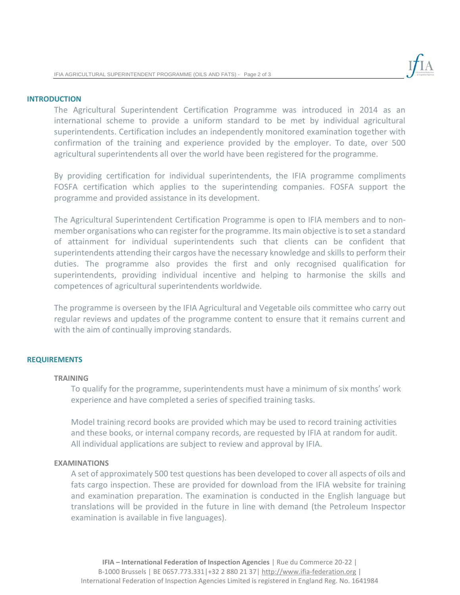

#### **INTRODUCTION**

The Agricultural Superintendent Certification Programme was introduced in 2014 as an international scheme to provide a uniform standard to be met by individual agricultural superintendents. Certification includes an independently monitored examination together with confirmation of the training and experience provided by the employer. To date, over 500 agricultural superintendents all over the world have been registered for the programme.

By providing certification for individual superintendents, the IFIA programme compliments FOSFA certification which applies to the superintending companies. FOSFA support the programme and provided assistance in its development.

The Agricultural Superintendent Certification Programme is open to IFIA members and to nonmember organisations who can register for the programme. Its main objective is to set a standard of attainment for individual superintendents such that clients can be confident that superintendents attending their cargos have the necessary knowledge and skills to perform their duties. The programme also provides the first and only recognised qualification for superintendents, providing individual incentive and helping to harmonise the skills and competences of agricultural superintendents worldwide.

The programme is overseen by the IFIA Agricultural and Vegetable oils committee who carry out regular reviews and updates of the programme content to ensure that it remains current and with the aim of continually improving standards.

#### **REQUIREMENTS**

#### **TRAINING**

To qualify for the programme, superintendents must have a minimum of six months' work experience and have completed a series of specified training tasks.

Model training record books are provided which may be used to record training activities and these books, or internal company records, are requested by IFIA at random for audit. All individual applications are subject to review and approval by IFIA.

#### **EXAMINATIONS**

A set of approximately 500 test questions has been developed to cover all aspects of oils and fats cargo inspection. These are provided for download from the IFIA website for training and examination preparation. The examination is conducted in the English language but translations will be provided in the future in line with demand (the Petroleum Inspector examination is available in five languages).